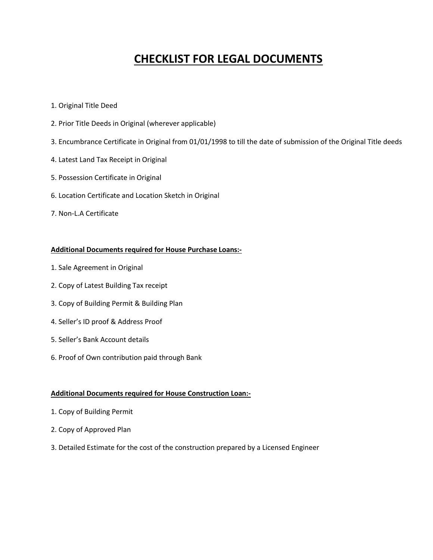# **CHECKLIST FOR LEGAL DOCUMENTS**

- 1. Original Title Deed
- 2. Prior Title Deeds in Original (wherever applicable)
- 3. Encumbrance Certificate in Original from 01/01/1998 to till the date of submission of the Original Title deeds
- 4. Latest Land Tax Receipt in Original
- 5. Possession Certificate in Original
- 6. Location Certificate and Location Sketch in Original
- 7. Non-L.A Certificate

#### **Additional Documents required for House Purchase Loans:-**

- 1. Sale Agreement in Original
- 2. Copy of Latest Building Tax receipt
- 3. Copy of Building Permit & Building Plan
- 4. Seller's ID proof & Address Proof
- 5. Seller's Bank Account details
- 6. Proof of Own contribution paid through Bank

#### **Additional Documents required for House Construction Loan:-**

- 1. Copy of Building Permit
- 2. Copy of Approved Plan
- 3. Detailed Estimate for the cost of the construction prepared by a Licensed Engineer